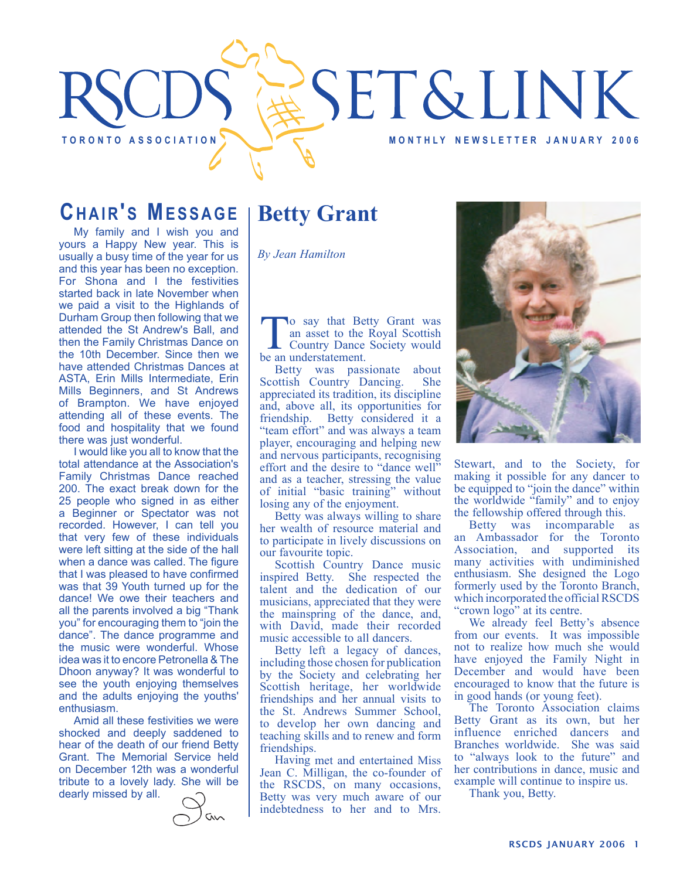

### **CHAIR'S MESSAGE**

My family and I wish you and yours a Happy New year. This is usually a busy time of the year for us and this year has been no exception. For Shona and I the festivities started back in late November when we paid a visit to the Highlands of Durham Group then following that we attended the St Andrew's Ball, and then the Family Christmas Dance on the 10th December. Since then we have attended Christmas Dances at ASTA, Erin Mills Intermediate, Erin Mills Beginners, and St Andrews of Brampton. We have enjoyed attending all of these events. The food and hospitality that we found there was just wonderful.

I would like you all to know that the total attendance at the Association's Family Christmas Dance reached 200. The exact break down for the 25 people who signed in as either a Beginner or Spectator was not recorded. However, I can tell you that very few of these individuals were left sitting at the side of the hall when a dance was called. The figure that I was pleased to have confirmed was that 39 Youth turned up for the dance! We owe their teachers and all the parents involved a big "Thank you" for encouraging them to "join the dance". The dance programme and the music were wonderful. Whose idea was it to encore Petronella & The Dhoon anyway? It was wonderful to see the youth enjoying themselves and the adults enjoying the youths' enthusiasm.

Amid all these festivities we were shocked and deeply saddened to hear of the death of our friend Betty Grant. The Memorial Service held on December 12th was a wonderful tribute to a lovely lady. She will be dearly missed by all.

## **Betty Grant**

*By Jean Hamilton*

To say that Betty Grant was an asset to the Royal Scottish Country Dance Society would be an understatement.

Betty was passionate about<br>
ottish Country Dancing. She Scottish Country Dancing. appreciated its tradition, its discipline and, above all, its opportunities for friendship. Betty considered it a "team effort" and was always a team player, encouraging and helping new and nervous participants, recognising effort and the desire to "dance well" and as a teacher, stressing the value of initial "basic training" without losing any of the enjoyment.

Betty was always willing to share her wealth of resource material and to participate in lively discussions on our favourite topic.

Scottish Country Dance music inspired Betty. She respected the talent and the dedication of our musicians, appreciated that they were the mainspring of the dance, and, with David, made their recorded music accessible to all dancers.

Betty left a legacy of dances, including those chosen for publication by the Society and celebrating her Scottish heritage, her worldwide friendships and her annual visits to the St. Andrews Summer School, to develop her own dancing and teaching skills and to renew and form friendships.

Having met and entertained Miss Jean C. Milligan, the co-founder of the RSCDS, on many occasions, Betty was very much aware of our indebtedness to her and to Mrs.



Stewart, and to the Society, for making it possible for any dancer to be equipped to "join the dance" within the worldwide "family" and to enjoy the fellowship offered through this.

Betty was incomparable as an Ambassador for the Toronto Association, and supported its many activities with undiminished enthusiasm. She designed the Logo formerly used by the Toronto Branch, which incorporated the official RSCDS "crown logo" at its centre.

We already feel Betty's absence from our events. It was impossible not to realize how much she would have enjoyed the Family Night in December and would have been encouraged to know that the future is in good hands (or young feet).

The Toronto Association claims Betty Grant as its own, but her influence enriched dancers and Branches worldwide. She was said to "always look to the future" and her contributions in dance, music and example will continue to inspire us.

Thank you, Betty.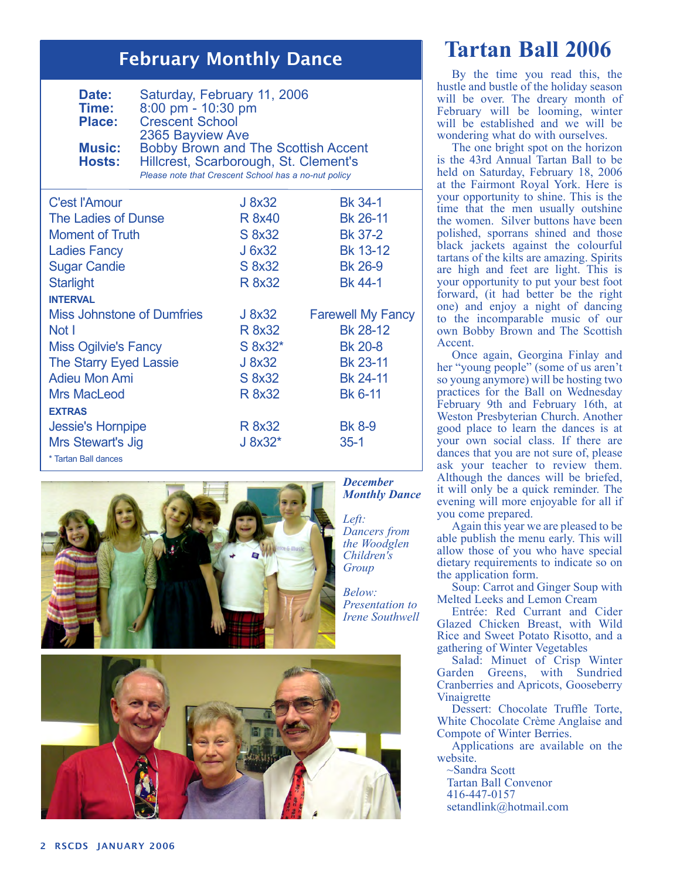### February Monthly Dance

| Date:<br>Time:<br><b>Place:</b><br><b>Music:</b><br><b>Hosts:</b> | Saturday, February 11, 2006<br>8:00 pm - 10:30 pm<br><b>Crescent School</b><br>2365 Bayview Ave<br><b>Bobby Brown and The Scottish Accent</b><br>Hillcrest, Scarborough, St. Clement's<br>Please note that Crescent School has a no-nut policy |               |                          |
|-------------------------------------------------------------------|------------------------------------------------------------------------------------------------------------------------------------------------------------------------------------------------------------------------------------------------|---------------|--------------------------|
| <b>C'est l'Amour</b>                                              |                                                                                                                                                                                                                                                | J 8x32        | <b>Bk 34-1</b>           |
| The Ladies of Dunse                                               |                                                                                                                                                                                                                                                | <b>R</b> 8x40 | Bk 26-11                 |
| <b>Moment of Truth</b>                                            |                                                                                                                                                                                                                                                | S 8x32        | <b>Bk 37-2</b>           |
| <b>Ladies Fancy</b>                                               |                                                                                                                                                                                                                                                | J 6x32        | Bk 13-12                 |
| <b>Sugar Candie</b>                                               |                                                                                                                                                                                                                                                | S 8x32        | <b>Bk 26-9</b>           |
| <b>Starlight</b>                                                  |                                                                                                                                                                                                                                                | R 8x32        | <b>Bk 44-1</b>           |
| <b>INTERVAL</b>                                                   |                                                                                                                                                                                                                                                |               |                          |
| <b>Miss Johnstone of Dumfries</b>                                 |                                                                                                                                                                                                                                                | J 8x32        | <b>Farewell My Fancy</b> |
| Not I                                                             |                                                                                                                                                                                                                                                | R 8x32        | Bk 28-12                 |
| <b>Miss Ogilvie's Fancy</b>                                       |                                                                                                                                                                                                                                                | S 8x32*       | <b>Bk 20-8</b>           |
| <b>The Starry Eyed Lassie</b>                                     |                                                                                                                                                                                                                                                | J 8x32        | Bk 23-11                 |
| <b>Adieu Mon Ami</b>                                              |                                                                                                                                                                                                                                                | S 8x32        | Bk 24-11                 |
| <b>Mrs MacLeod</b>                                                |                                                                                                                                                                                                                                                | R 8x32        | <b>Bk 6-11</b>           |
| <b>EXTRAS</b>                                                     |                                                                                                                                                                                                                                                |               |                          |
| <b>Jessie's Hornpipe</b>                                          |                                                                                                                                                                                                                                                | R 8x32        | <b>Bk 8-9</b>            |
| Mrs Stewart's Jig                                                 |                                                                                                                                                                                                                                                | J 8x32*       | $35 - 1$                 |
| * Tartan Ball dances                                              |                                                                                                                                                                                                                                                |               |                          |



# **Tartan Ball 2006**

By the time you read this, the hustle and bustle of the holiday season will be over. The dreary month of February will be looming, winter will be established and we will be wondering what do with ourselves.

The one bright spot on the horizon is the 43rd Annual Tartan Ball to be held on Saturday, February 18, 2006 at the Fairmont Royal York. Here is your opportunity to shine. This is the time that the men usually outshine the women. Silver buttons have been polished, sporrans shined and those black jackets against the colourful tartans of the kilts are amazing. Spirits are high and feet are light. This is your opportunity to put your best foot forward, (it had better be the right one) and enjoy a night of dancing to the incomparable music of our own Bobby Brown and The Scottish Accent.

Once again, Georgina Finlay and her "young people" (some of us aren't so young anymore) will be hosting two practices for the Ball on Wednesday February 9th and February 16th, at Weston Presbyterian Church. Another good place to learn the dances is at your own social class. If there are dances that you are not sure of, please ask your teacher to review them. Although the dances will be briefed, it will only be a quick reminder. The evening will more enjoyable for all if you come prepared.

Again this year we are pleased to be able publish the menu early. This will allow those of you who have special dietary requirements to indicate so on the application form.

Soup: Carrot and Ginger Soup with Melted Leeks and Lemon Cream

Entrée: Red Currant and Cider Glazed Chicken Breast, with Wild Rice and Sweet Potato Risotto, and a gathering of Winter Vegetables

Salad: Minuet of Crisp Winter Garden Greens, with Sundried Cranberries and Apricots, Gooseberry Vinaigrette

Dessert: Chocolate Truffle Torte, White Chocolate Crème Anglaise and Compote of Winter Berries.

Applications are available on the website.

~Sandra Scott Tartan Ball Convenor 416-447-0157 setandlink@hotmail.com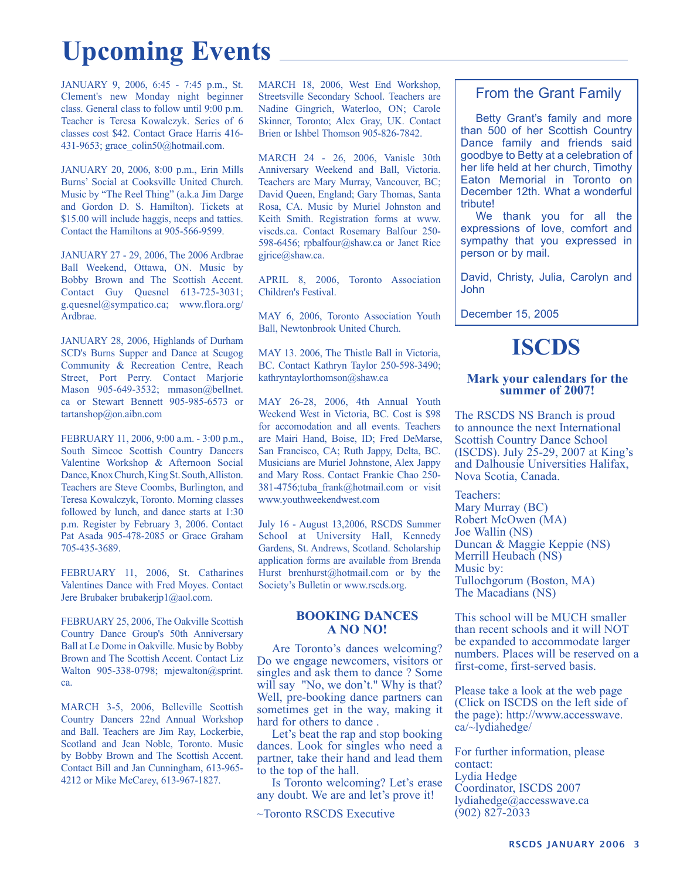# **Upcoming Events**

JANUARY 9, 2006, 6:45 - 7:45 p.m., St. Clement's new Monday night beginner class. General class to follow until 9:00 p.m. Teacher is Teresa Kowalczyk. Series of 6 classes cost \$42. Contact Grace Harris 416- 431-9653; grace\_colin50@hotmail.com.

JANUARY 20, 2006, 8:00 p.m., Erin Mills Burns' Social at Cooksville United Church. Music by "The Reel Thing" (a.k.a Jim Darge and Gordon D. S. Hamilton). Tickets at \$15.00 will include haggis, neeps and tatties. Contact the Hamiltons at 905-566-9599.

JANUARY 27 - 29, 2006, The 2006 Ardbrae Ball Weekend, Ottawa, ON. Music by Bobby Brown and The Scottish Accent. Contact Guy Quesnel 613-725-3031; g.quesnel@sympatico.ca; www.flora.org/ Ardbrae.

JANUARY 28, 2006, Highlands of Durham SCD's Burns Supper and Dance at Scugog Community & Recreation Centre, Reach Street, Port Perry. Contact Marjorie Mason 905-649-3532; mmason@bellnet. ca or Stewart Bennett 905-985-6573 or tartanshop@on.aibn.com

FEBRUARY 11, 2006, 9:00 a.m. - 3:00 p.m., South Simcoe Scottish Country Dancers Valentine Workshop & Afternoon Social Dance, Knox Church, King St. South, Alliston. Teachers are Steve Coombs, Burlington, and Teresa Kowalczyk, Toronto. Morning classes followed by lunch, and dance starts at 1:30 p.m. Register by February 3, 2006. Contact Pat Asada 905-478-2085 or Grace Graham 705-435-3689.

FEBRUARY 11, 2006, St. Catharines Valentines Dance with Fred Moyes. Contact Jere Brubaker brubakerjp1@aol.com.

FEBRUARY 25, 2006, The Oakville Scottish Country Dance Group's 50th Anniversary Ball at Le Dome in Oakville. Music by Bobby Brown and The Scottish Accent. Contact Liz Walton 905-338-0798; mjewalton@sprint. ca.

MARCH 3-5, 2006, Belleville Scottish Country Dancers 22nd Annual Workshop and Ball. Teachers are Jim Ray, Lockerbie, Scotland and Jean Noble, Toronto. Music by Bobby Brown and The Scottish Accent. Contact Bill and Jan Cunningham, 613-965- 4212 or Mike McCarey, 613-967-1827.

MARCH 18, 2006, West End Workshop, Streetsville Secondary School. Teachers are Nadine Gingrich, Waterloo, ON; Carole Skinner, Toronto; Alex Gray, UK. Contact Brien or Ishbel Thomson 905-826-7842.

MARCH 24 - 26, 2006, Vanisle 30th Anniversary Weekend and Ball, Victoria. Teachers are Mary Murray, Vancouver, BC; David Queen, England; Gary Thomas, Santa Rosa, CA. Music by Muriel Johnston and Keith Smith. Registration forms at www. viscds.ca. Contact Rosemary Balfour 250- 598-6456; rpbalfour@shaw.ca or Janet Rice gjrice@shaw.ca.

APRIL 8, 2006, Toronto Association Children's Festival.

MAY 6, 2006, Toronto Association Youth Ball, Newtonbrook United Church.

MAY 13. 2006, The Thistle Ball in Victoria, BC. Contact Kathryn Taylor 250-598-3490; kathryntaylorthomson@shaw.ca

MAY 26-28, 2006, 4th Annual Youth Weekend West in Victoria, BC. Cost is \$98 for accomodation and all events. Teachers are Mairi Hand, Boise, ID; Fred DeMarse, San Francisco, CA; Ruth Jappy, Delta, BC. Musicians are Muriel Johnstone, Alex Jappy and Mary Ross. Contact Frankie Chao 250- 381-4756;tuba\_frank@hotmail.com or visit www.youthweekendwest.com

July 16 - August 13,2006, RSCDS Summer School at University Hall, Kennedy Gardens, St. Andrews, Scotland. Scholarship application forms are available from Brenda Hurst brenhurst@hotmail.com or by the Society's Bulletin or www.rscds.org.

### **BOOKING DANCES A NO NO!**

Are Toronto's dances welcoming? Do we engage newcomers, visitors or singles and ask them to dance ? Some will say "No, we don't." Why is that? Well, pre-booking dance partners can sometimes get in the way, making it hard for others to dance .

Let's beat the rap and stop booking dances. Look for singles who need a partner, take their hand and lead them to the top of the hall.

Is Toronto welcoming? Let's erase any doubt. We are and let's prove it!

~Toronto RSCDS Executive

### From the Grant Family

Betty Grant's family and more than 500 of her Scottish Country Dance family and friends said goodbye to Betty at a celebration of her life held at her church, Timothy Eaton Memorial in Toronto on December 12th. What a wonderful tribute!

We thank you for all the expressions of love, comfort and sympathy that you expressed in person or by mail.

David, Christy, Julia, Carolyn and John

December 15, 2005

## **ISCDS**

### **Mark your calendars for the summer of 2007!**

The RSCDS NS Branch is proud to announce the next International Scottish Country Dance School (ISCDS). July 25-29, 2007 at King's and Dalhousie Universities Halifax, Nova Scotia, Canada.

Teachers: Mary Murray (BC) Robert McOwen (MA) Joe Wallin (NS) Duncan & Maggie Keppie (NS) Merrill Heubach (NS) Music by: Tullochgorum (Boston, MA) The Macadians (NS)

This school will be MUCH smaller than recent schools and it will NOT be expanded to accommodate larger numbers. Places will be reserved on a first-come, first-served basis.

Please take a look at the web page (Click on ISCDS on the left side of the page): http://www.accesswave. ca/~lydiahedge/

For further information, please contact: Lydia Hedge Coordinator, ISCDS 2007 lydiahedge@accesswave.ca (902) 827-2033